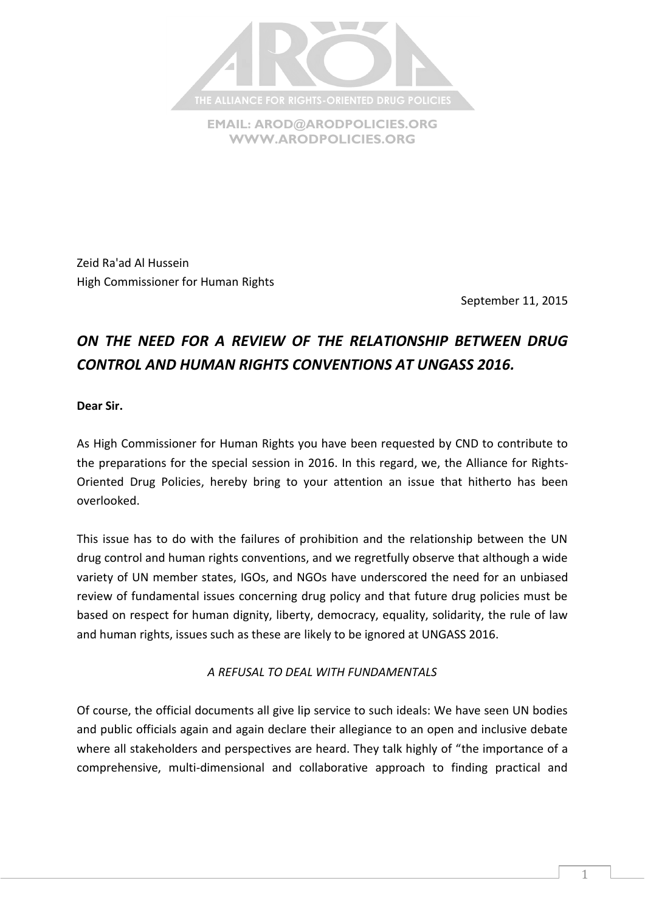

**EMAIL: [AROD@ARODPOLICIES.ORG](mailto:AROD@ARODPOLICIES.ORG) [WWW.ARODPOLICIES.ORG](http://www.arodpolicies.org/)**

Zeid Ra'ad Al Hussein High Commissioner for Human Rights

September 11, 2015

# *ON THE NEED FOR A REVIEW OF THE RELATIONSHIP BETWEEN DRUG CONTROL AND HUMAN RIGHTS CONVENTIONS AT UNGASS 2016.*

**Dear Sir.**

As High Commissioner for Human Rights you have been requested by CND to contribute to the preparations for the special session in 2016. In this regard, we, the Alliance for Rights-Oriented Drug Policies, hereby bring to your attention an issue that hitherto has been overlooked.

This issue has to do with the failures of prohibition and the relationship between the UN drug control and human rights conventions, and we regretfully observe that although a wide variety of UN member states, IGOs, and NGOs have underscored the need for an unbiased review of fundamental issues concerning drug policy and that future drug policies must be based on respect for human dignity, liberty, democracy, equality, solidarity, the rule of law and human rights, issues such as these are likely to be ignored at UNGASS 2016.

*A REFUSAL TO DEAL WITH FUNDAMENTALS*

Of course, the official documents all give lip service to such ideals: We have seen UN bodies and public officials again and again declare their allegiance to an open and inclusive debate where all stakeholders and perspectives are heard. They talk highly of "the importance of a comprehensive, multi-dimensional and collaborative approach to finding practical and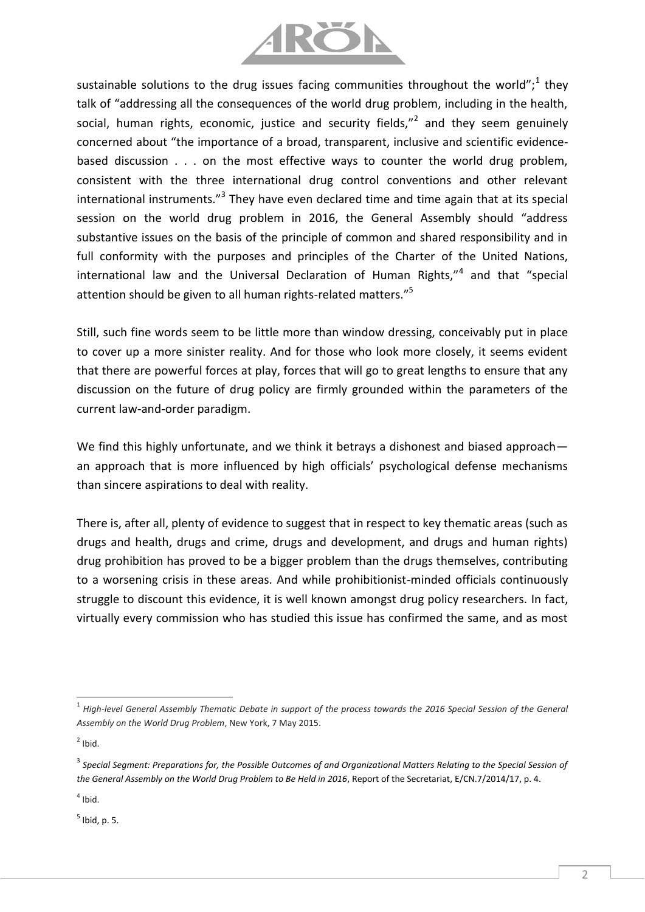

sustainable solutions to the drug issues facing communities throughout the world";<sup>1</sup> they talk of "addressing all the consequences of the world drug problem, including in the health, social, human rights, economic, justice and security fields,"<sup>2</sup> and they seem genuinely concerned about "the importance of a broad, transparent, inclusive and scientific evidencebased discussion . . . on the most effective ways to counter the world drug problem, consistent with the three international drug control conventions and other relevant international instruments."<sup>3</sup> They have even declared time and time again that at its special session on the world drug problem in 2016, the General Assembly should "address substantive issues on the basis of the principle of common and shared responsibility and in full conformity with the purposes and principles of the Charter of the United Nations, international law and the Universal Declaration of Human Rights,"<sup>4</sup> and that "special attention should be given to all human rights-related matters."<sup>5</sup>

Still, such fine words seem to be little more than window dressing, conceivably put in place to cover up a more sinister reality. And for those who look more closely, it seems evident that there are powerful forces at play, forces that will go to great lengths to ensure that any discussion on the future of drug policy are firmly grounded within the parameters of the current law-and-order paradigm.

We find this highly unfortunate, and we think it betrays a dishonest and biased approach an approach that is more influenced by high officials' psychological defense mechanisms than sincere aspirations to deal with reality.

There is, after all, plenty of evidence to suggest that in respect to key thematic areas (such as drugs and health, drugs and crime, drugs and development, and drugs and human rights) drug prohibition has proved to be a bigger problem than the drugs themselves, contributing to a worsening crisis in these areas. And while prohibitionist-minded officials continuously struggle to discount this evidence, it is well known amongst drug policy researchers. In fact, virtually every commission who has studied this issue has confirmed the same, and as most

 $^5$  Ibid, p. 5.

l 1 *High-level General Assembly Thematic Debate in support of the process towards the 2016 Special Session of the General Assembly on the World Drug Problem*, New York, 7 May 2015.

 $2$  Ibid.

<sup>&</sup>lt;sup>3</sup> Special Segment: Preparations for, the Possible Outcomes of and Organizational Matters Relating to the Special Session of *the General Assembly on the World Drug Problem to Be Held in 2016*, Report of the Secretariat, E/CN.7/2014/17, p. 4.

 $<sup>4</sup>$  Ibid.</sup>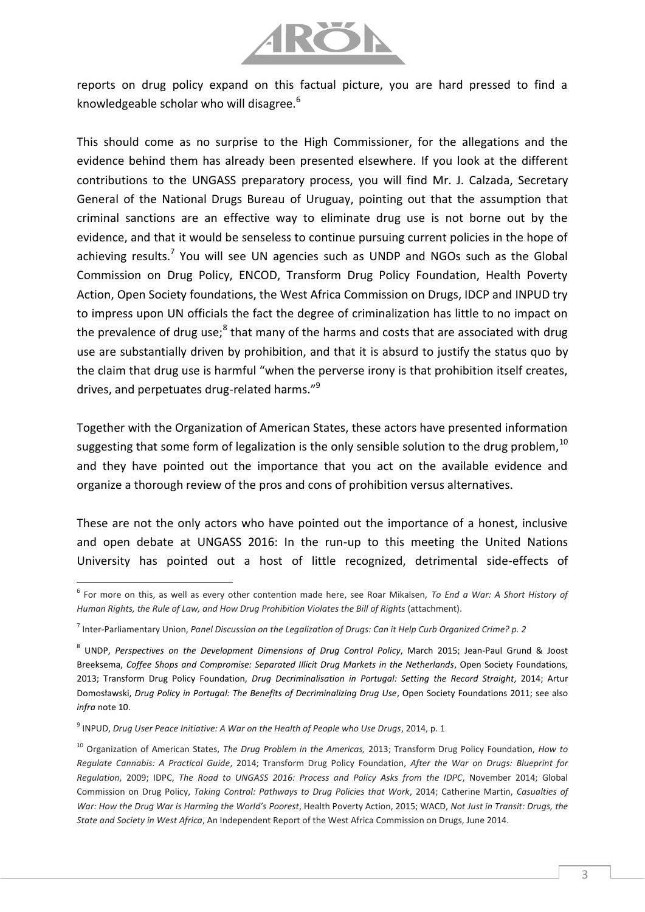

reports on drug policy expand on this factual picture, you are hard pressed to find a knowledgeable scholar who will disagree. $6$ 

This should come as no surprise to the High Commissioner, for the allegations and the evidence behind them has already been presented elsewhere. If you look at the different contributions to the UNGASS preparatory process, you will find Mr. J. Calzada, Secretary General of the National Drugs Bureau of Uruguay, pointing out that the assumption that criminal sanctions are an effective way to eliminate drug use is not borne out by the evidence, and that it would be senseless to continue pursuing current policies in the hope of achieving results.<sup>7</sup> You will see UN agencies such as UNDP and NGOs such as the Global Commission on Drug Policy, ENCOD, Transform Drug Policy Foundation, Health Poverty Action, Open Society foundations, the West Africa Commission on Drugs, IDCP and INPUD try to impress upon UN officials the fact the degree of criminalization has little to no impact on the prevalence of drug use;<sup>8</sup> that many of the harms and costs that are associated with drug use are substantially driven by prohibition, and that it is absurd to justify the status quo by the claim that drug use is harmful "when the perverse irony is that prohibition itself creates, drives, and perpetuates drug-related harms."<sup>9</sup>

Together with the Organization of American States, these actors have presented information suggesting that some form of legalization is the only sensible solution to the drug problem.<sup>10</sup> and they have pointed out the importance that you act on the available evidence and organize a thorough review of the pros and cons of prohibition versus alternatives.

These are not the only actors who have pointed out the importance of a honest, inclusive and open debate at UNGASS 2016: In the run-up to this meeting the United Nations University has pointed out a host of little recognized, detrimental side-effects of

 $\overline{a}$ 

<sup>6</sup> For more on this, as well as every other contention made here, see Roar Mikalsen, *To End a War: A Short History of Human Rights, the Rule of Law, and How Drug Prohibition Violates the Bill of Rights* (attachment).

<sup>7</sup> Inter-Parliamentary Union, *Panel Discussion on the Legalization of Drugs: Can it Help Curb Organized Crime? p. 2*

<sup>8</sup> UNDP, *Perspectives on the Development Dimensions of Drug Control Policy*, March 2015; Jean-Paul Grund & Joost Breeksema, *Coffee Shops and Compromise: Separated Illicit Drug Markets in the Netherlands*, Open Society Foundations, 2013; Transform Drug Policy Foundation, *Drug Decriminalisation in Portugal: Setting the Record Straight*, 2014; Artur Domosławski, *Drug Policy in Portugal: The Benefits of Decriminalizing Drug Use*, Open Society Foundations 2011; see also *infra* note 10.

<sup>9</sup> INPUD, *Drug User Peace Initiative: A War on the Health of People who Use Drugs*, 2014, p. 1

<sup>10</sup> Organization of American States, *The Drug Problem in the Americas,* 2013; Transform Drug Policy Foundation, *How to Regulate Cannabis: A Practical Guide*, 2014; Transform Drug Policy Foundation, *After the War on Drugs: Blueprint for Regulation*, 2009; IDPC, *The Road to UNGASS 2016: Process and Policy Asks from the IDPC*, November 2014; Global Commission on Drug Policy, *Taking Control: Pathways to Drug Policies that Work*, 2014; Catherine Martin, *Casualties of War: How the Drug War is Harming the World's Poorest*, Health Poverty Action, 2015; WACD, *Not Just in Transit: Drugs, the State and Society in West Africa*, An Independent Report of the West Africa Commission on Drugs, June 2014.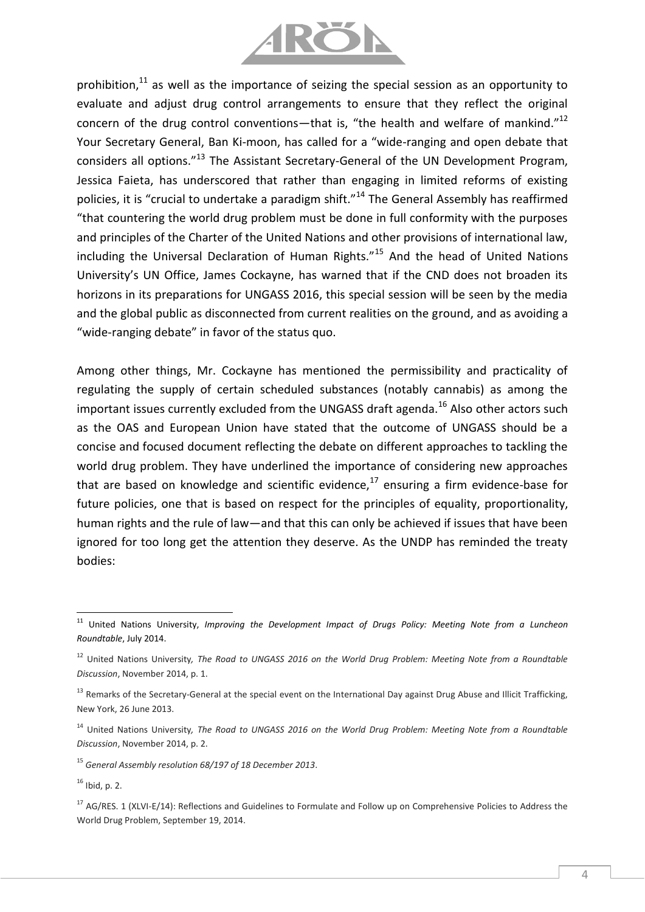

prohibition, $11$  as well as the importance of seizing the special session as an opportunity to evaluate and adjust drug control arrangements to ensure that they reflect the original concern of the drug control conventions—that is, "the health and welfare of mankind."<sup>12</sup> Your Secretary General, Ban Ki-moon, has called for a "wide-ranging and open debate that considers all options."<sup>13</sup> The Assistant Secretary-General of the UN Development Program, Jessica Faieta, has underscored that rather than engaging in limited reforms of existing policies, it is "crucial to undertake a paradigm shift."<sup>14</sup> The General Assembly has reaffirmed "that countering the world drug problem must be done in full conformity with the purposes and principles of the Charter of the United Nations and other provisions of international law, including the Universal Declaration of Human Rights."<sup>15</sup> And the head of United Nations University's UN Office, James Cockayne, has warned that if the CND does not broaden its horizons in its preparations for UNGASS 2016, this special session will be seen by the media and the global public as disconnected from current realities on the ground, and as avoiding a "wide-ranging debate" in favor of the status quo.

Among other things, Mr. Cockayne has mentioned the permissibility and practicality of regulating the supply of certain scheduled substances (notably cannabis) as among the important issues currently excluded from the UNGASS draft agenda.<sup>16</sup> Also other actors such as the OAS and European Union have stated that the outcome of UNGASS should be a concise and focused document reflecting the debate on different approaches to tackling the world drug problem. They have underlined the importance of considering new approaches that are based on knowledge and scientific evidence, $17$  ensuring a firm evidence-base for future policies, one that is based on respect for the principles of equality, proportionality, human rights and the rule of law—and that this can only be achieved if issues that have been ignored for too long get the attention they deserve. As the UNDP has reminded the treaty bodies:

 $\overline{a}$ 

<sup>&</sup>lt;sup>11</sup> United Nations University, *Improving the Development Impact of Drugs Policy: Meeting Note from a Luncheon Roundtable*, July 2014.

<sup>12</sup> United Nations University*, The Road to UNGASS 2016 on the World Drug Problem: Meeting Note from a Roundtable Discussion*, November 2014, p. 1.

<sup>&</sup>lt;sup>13</sup> Remarks of the Secretary-General at the special event on the International Day against Drug Abuse and Illicit Trafficking, New York, 26 June 2013.

<sup>14</sup> United Nations University*, The Road to UNGASS 2016 on the World Drug Problem: Meeting Note from a Roundtable Discussion*, November 2014, p. 2.

<sup>15</sup> *General Assembly resolution 68/197 of 18 December 2013*.

 $16$  Ibid, p. 2.

 $17$  AG/RES. 1 (XLVI-E/14): Reflections and Guidelines to Formulate and Follow up on Comprehensive Policies to Address the World Drug Problem, September 19, 2014.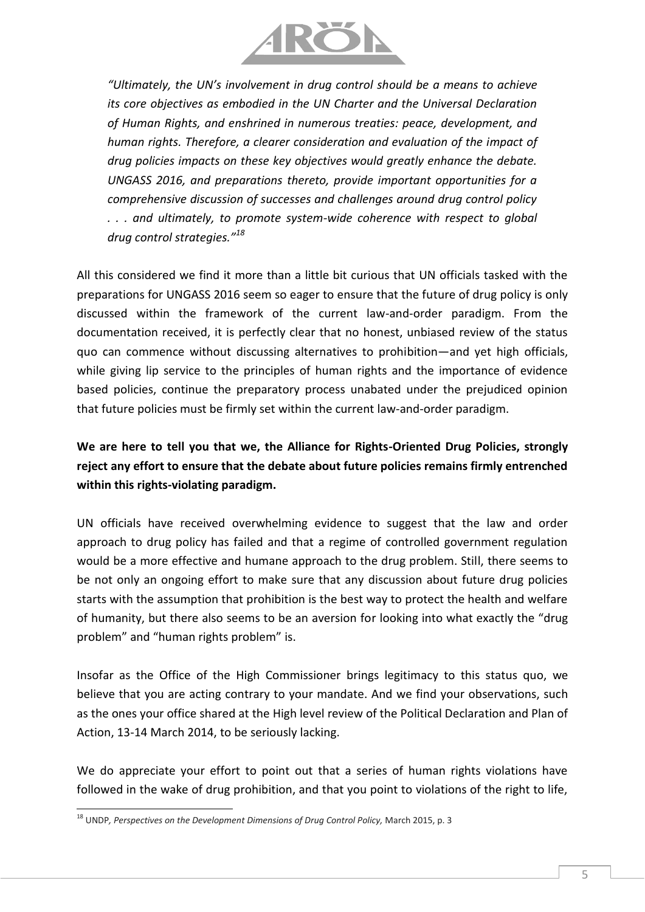

*"Ultimately, the UN's involvement in drug control should be a means to achieve its core objectives as embodied in the UN Charter and the Universal Declaration of Human Rights, and enshrined in numerous treaties: peace, development, and human rights. Therefore, a clearer consideration and evaluation of the impact of drug policies impacts on these key objectives would greatly enhance the debate. UNGASS 2016, and preparations thereto, provide important opportunities for a comprehensive discussion of successes and challenges around drug control policy . . . and ultimately, to promote system-wide coherence with respect to global drug control strategies."<sup>18</sup>*

All this considered we find it more than a little bit curious that UN officials tasked with the preparations for UNGASS 2016 seem so eager to ensure that the future of drug policy is only discussed within the framework of the current law-and-order paradigm. From the documentation received, it is perfectly clear that no honest, unbiased review of the status quo can commence without discussing alternatives to prohibition—and yet high officials, while giving lip service to the principles of human rights and the importance of evidence based policies, continue the preparatory process unabated under the prejudiced opinion that future policies must be firmly set within the current law-and-order paradigm.

## **We are here to tell you that we, the Alliance for Rights-Oriented Drug Policies, strongly reject any effort to ensure that the debate about future policies remains firmly entrenched within this rights-violating paradigm.**

UN officials have received overwhelming evidence to suggest that the law and order approach to drug policy has failed and that a regime of controlled government regulation would be a more effective and humane approach to the drug problem. Still, there seems to be not only an ongoing effort to make sure that any discussion about future drug policies starts with the assumption that prohibition is the best way to protect the health and welfare of humanity, but there also seems to be an aversion for looking into what exactly the "drug problem" and "human rights problem" is.

Insofar as the Office of the High Commissioner brings legitimacy to this status quo, we believe that you are acting contrary to your mandate. And we find your observations, such as the ones your office shared at the High level review of the Political Declaration and Plan of Action, 13-14 March 2014, to be seriously lacking.

We do appreciate your effort to point out that a series of human rights violations have followed in the wake of drug prohibition, and that you point to violations of the right to life,

l <sup>18</sup> UNDP, Perspectives on the Development Dimensions of Drug Control Policy, March 2015, p. 3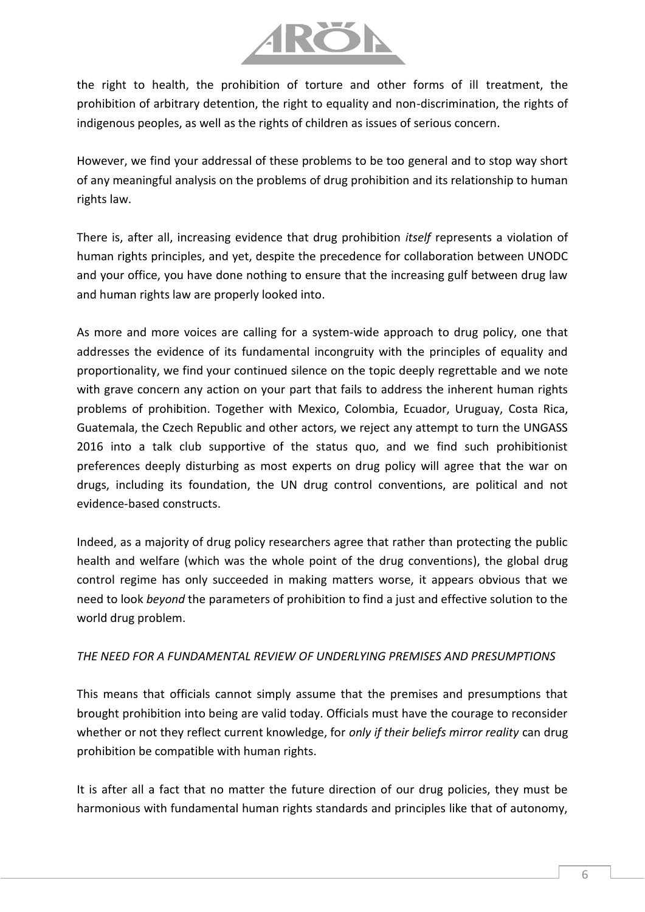

the right to health, the prohibition of torture and other forms of ill treatment, the prohibition of arbitrary detention, the right to equality and non-discrimination, the rights of indigenous peoples, as well as the rights of children as issues of serious concern.

However, we find your addressal of these problems to be too general and to stop way short of any meaningful analysis on the problems of drug prohibition and its relationship to human rights law.

There is, after all, increasing evidence that drug prohibition *itself* represents a violation of human rights principles, and yet, despite the precedence for collaboration between UNODC and your office, you have done nothing to ensure that the increasing gulf between drug law and human rights law are properly looked into.

As more and more voices are calling for a system-wide approach to drug policy, one that addresses the evidence of its fundamental incongruity with the principles of equality and proportionality, we find your continued silence on the topic deeply regrettable and we note with grave concern any action on your part that fails to address the inherent human rights problems of prohibition. Together with Mexico, Colombia, Ecuador, Uruguay, Costa Rica, Guatemala, the Czech Republic and other actors, we reject any attempt to turn the UNGASS 2016 into a talk club supportive of the status quo, and we find such prohibitionist preferences deeply disturbing as most experts on drug policy will agree that the war on drugs, including its foundation, the UN drug control conventions, are political and not evidence-based constructs.

Indeed, as a majority of drug policy researchers agree that rather than protecting the public health and welfare (which was the whole point of the drug conventions), the global drug control regime has only succeeded in making matters worse, it appears obvious that we need to look *beyond* the parameters of prohibition to find a just and effective solution to the world drug problem.

#### *THE NEED FOR A FUNDAMENTAL REVIEW OF UNDERLYING PREMISES AND PRESUMPTIONS*

This means that officials cannot simply assume that the premises and presumptions that brought prohibition into being are valid today. Officials must have the courage to reconsider whether or not they reflect current knowledge, for *only if their beliefs mirror reality* can drug prohibition be compatible with human rights.

It is after all a fact that no matter the future direction of our drug policies, they must be harmonious with fundamental human rights standards and principles like that of autonomy,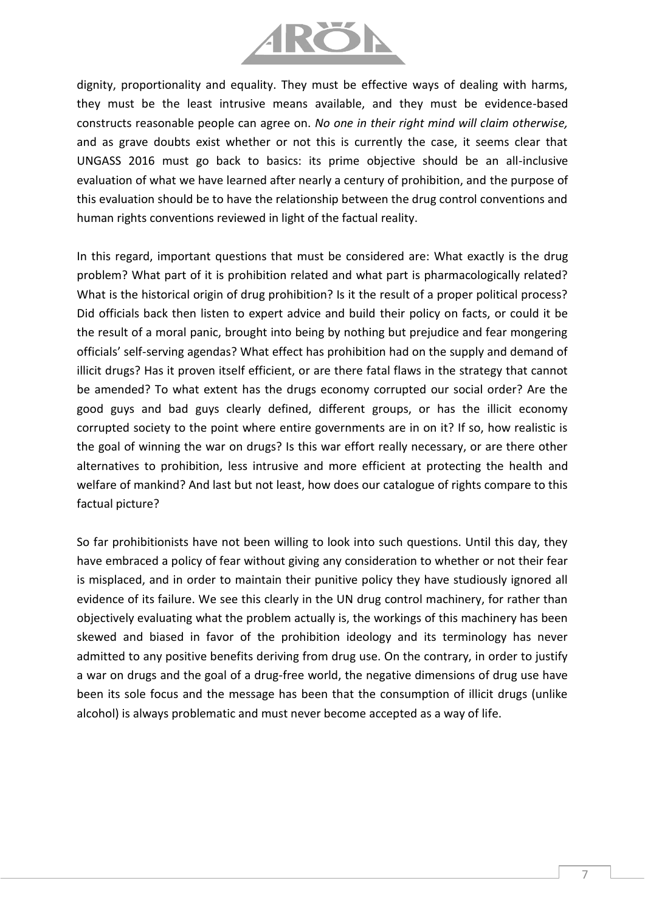

dignity, proportionality and equality. They must be effective ways of dealing with harms, they must be the least intrusive means available, and they must be evidence-based constructs reasonable people can agree on. *No one in their right mind will claim otherwise,*  and as grave doubts exist whether or not this is currently the case, it seems clear that UNGASS 2016 must go back to basics: its prime objective should be an all-inclusive evaluation of what we have learned after nearly a century of prohibition, and the purpose of this evaluation should be to have the relationship between the drug control conventions and human rights conventions reviewed in light of the factual reality.

In this regard, important questions that must be considered are: What exactly is the drug problem? What part of it is prohibition related and what part is pharmacologically related? What is the historical origin of drug prohibition? Is it the result of a proper political process? Did officials back then listen to expert advice and build their policy on facts, or could it be the result of a moral panic, brought into being by nothing but prejudice and fear mongering officials' self-serving agendas? What effect has prohibition had on the supply and demand of illicit drugs? Has it proven itself efficient, or are there fatal flaws in the strategy that cannot be amended? To what extent has the drugs economy corrupted our social order? Are the good guys and bad guys clearly defined, different groups, or has the illicit economy corrupted society to the point where entire governments are in on it? If so, how realistic is the goal of winning the war on drugs? Is this war effort really necessary, or are there other alternatives to prohibition, less intrusive and more efficient at protecting the health and welfare of mankind? And last but not least, how does our catalogue of rights compare to this factual picture?

So far prohibitionists have not been willing to look into such questions. Until this day, they have embraced a policy of fear without giving any consideration to whether or not their fear is misplaced, and in order to maintain their punitive policy they have studiously ignored all evidence of its failure. We see this clearly in the UN drug control machinery, for rather than objectively evaluating what the problem actually is, the workings of this machinery has been skewed and biased in favor of the prohibition ideology and its terminology has never admitted to any positive benefits deriving from drug use. On the contrary, in order to justify a war on drugs and the goal of a drug-free world, the negative dimensions of drug use have been its sole focus and the message has been that the consumption of illicit drugs (unlike alcohol) is always problematic and must never become accepted as a way of life.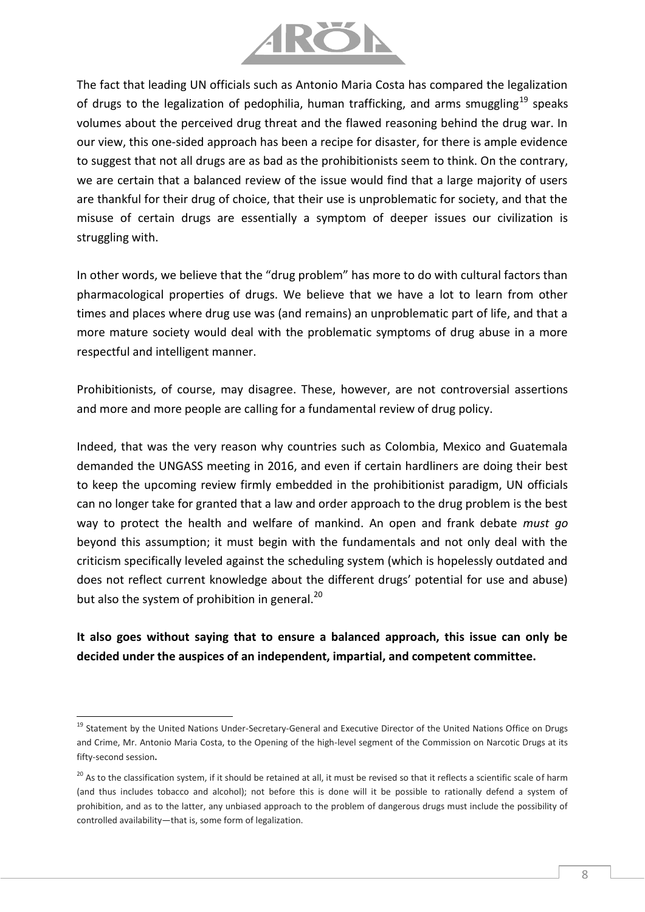

The fact that leading UN officials such as Antonio Maria Costa has compared the legalization of drugs to the legalization of pedophilia, human trafficking, and arms smuggling<sup>19</sup> speaks volumes about the perceived drug threat and the flawed reasoning behind the drug war. In our view, this one-sided approach has been a recipe for disaster, for there is ample evidence to suggest that not all drugs are as bad as the prohibitionists seem to think. On the contrary, we are certain that a balanced review of the issue would find that a large majority of users are thankful for their drug of choice, that their use is unproblematic for society, and that the misuse of certain drugs are essentially a symptom of deeper issues our civilization is struggling with.

In other words, we believe that the "drug problem" has more to do with cultural factors than pharmacological properties of drugs. We believe that we have a lot to learn from other times and places where drug use was (and remains) an unproblematic part of life, and that a more mature society would deal with the problematic symptoms of drug abuse in a more respectful and intelligent manner.

Prohibitionists, of course, may disagree. These, however, are not controversial assertions and more and more people are calling for a fundamental review of drug policy.

Indeed, that was the very reason why countries such as Colombia, Mexico and Guatemala demanded the UNGASS meeting in 2016, and even if certain hardliners are doing their best to keep the upcoming review firmly embedded in the prohibitionist paradigm, UN officials can no longer take for granted that a law and order approach to the drug problem is the best way to protect the health and welfare of mankind. An open and frank debate *must go* beyond this assumption; it must begin with the fundamentals and not only deal with the criticism specifically leveled against the scheduling system (which is hopelessly outdated and does not reflect current knowledge about the different drugs' potential for use and abuse) but also the system of prohibition in general. $^{20}$ 

## **It also goes without saying that to ensure a balanced approach, this issue can only be decided under the auspices of an independent, impartial, and competent committee.**

l

<sup>&</sup>lt;sup>19</sup> Statement by the United Nations Under-Secretary-General and Executive Director of the United Nations Office on Drugs and Crime, Mr. Antonio Maria Costa, to the Opening of the high-level segment of the Commission on Narcotic Drugs at its fifty-second session**.**

<sup>&</sup>lt;sup>20</sup> As to the classification system, if it should be retained at all, it must be revised so that it reflects a scientific scale of harm (and thus includes tobacco and alcohol); not before this is done will it be possible to rationally defend a system of prohibition, and as to the latter, any unbiased approach to the problem of dangerous drugs must include the possibility of controlled availability—that is, some form of legalization.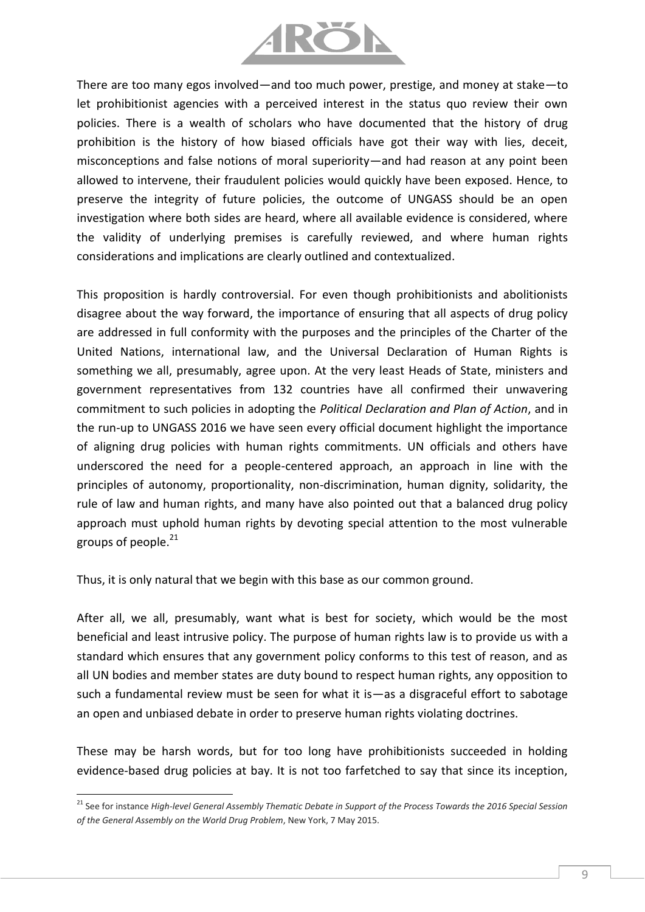

There are too many egos involved—and too much power, prestige, and money at stake—to let prohibitionist agencies with a perceived interest in the status quo review their own policies. There is a wealth of scholars who have documented that the history of drug prohibition is the history of how biased officials have got their way with lies, deceit, misconceptions and false notions of moral superiority—and had reason at any point been allowed to intervene, their fraudulent policies would quickly have been exposed. Hence, to preserve the integrity of future policies, the outcome of UNGASS should be an open investigation where both sides are heard, where all available evidence is considered, where the validity of underlying premises is carefully reviewed, and where human rights considerations and implications are clearly outlined and contextualized.

This proposition is hardly controversial. For even though prohibitionists and abolitionists disagree about the way forward, the importance of ensuring that all aspects of drug policy are addressed in full conformity with the purposes and the principles of the Charter of the United Nations, international law, and the Universal Declaration of Human Rights is something we all, presumably, agree upon. At the very least Heads of State, ministers and government representatives from 132 countries have all confirmed their unwavering commitment to such policies in adopting the *Political Declaration and Plan of Action*, and in the run-up to UNGASS 2016 we have seen every official document highlight the importance of aligning drug policies with human rights commitments. UN officials and others have underscored the need for a people-centered approach, an approach in line with the principles of autonomy, proportionality, non-discrimination, human dignity, solidarity, the rule of law and human rights, and many have also pointed out that a balanced drug policy approach must uphold human rights by devoting special attention to the most vulnerable groups of people. $^{21}$ 

Thus, it is only natural that we begin with this base as our common ground.

 $\overline{a}$ 

After all, we all, presumably, want what is best for society, which would be the most beneficial and least intrusive policy. The purpose of human rights law is to provide us with a standard which ensures that any government policy conforms to this test of reason, and as all UN bodies and member states are duty bound to respect human rights, any opposition to such a fundamental review must be seen for what it is—as a disgraceful effort to sabotage an open and unbiased debate in order to preserve human rights violating doctrines.

These may be harsh words, but for too long have prohibitionists succeeded in holding evidence-based drug policies at bay. It is not too farfetched to say that since its inception,

<sup>21</sup> See for instance *High-level General Assembly Thematic Debate in Support of the Process Towards the 2016 Special Session of the General Assembly on the World Drug Problem*, New York, 7 May 2015.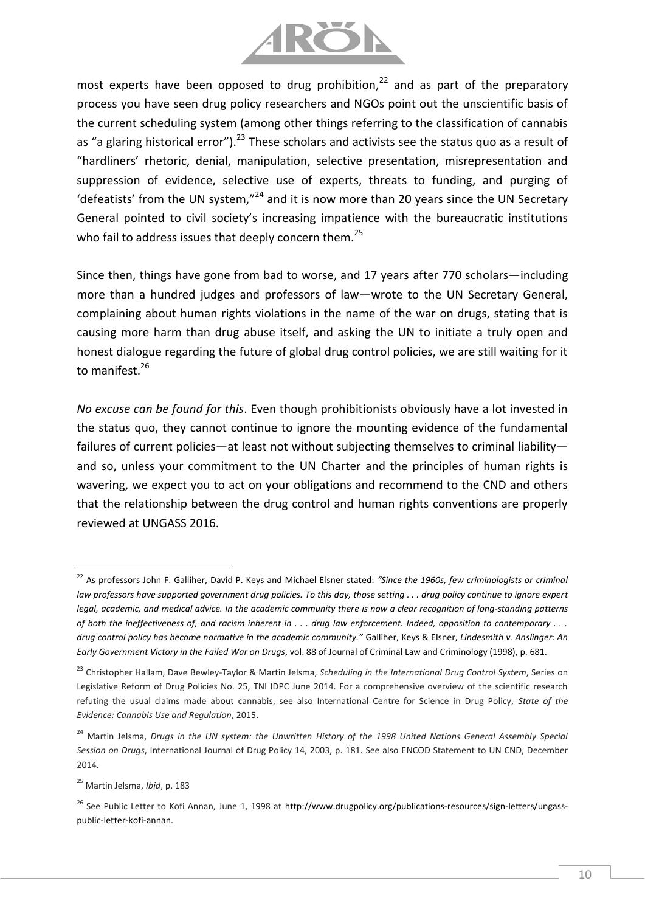

most experts have been opposed to drug prohibition,  $22$  and as part of the preparatory process you have seen drug policy researchers and NGOs point out the unscientific basis of the current scheduling system (among other things referring to the classification of cannabis as "a glaring historical error").<sup>23</sup> These scholars and activists see the status quo as a result of "hardliners' rhetoric, denial, manipulation, selective presentation, misrepresentation and suppression of evidence, selective use of experts, threats to funding, and purging of 'defeatists' from the UN system," $^{24}$  and it is now more than 20 years since the UN Secretary General pointed to civil society's increasing impatience with the bureaucratic institutions who fail to address issues that deeply concern them.<sup>25</sup>

Since then, things have gone from bad to worse, and 17 years after 770 scholars—including more than a hundred judges and professors of law—wrote to the UN Secretary General, complaining about human rights violations in the name of the war on drugs, stating that is causing more harm than drug abuse itself, and asking the UN to initiate a truly open and honest dialogue regarding the future of global drug control policies, we are still waiting for it to manifest.<sup>26</sup>

*No excuse can be found for this*. Even though prohibitionists obviously have a lot invested in the status quo, they cannot continue to ignore the mounting evidence of the fundamental failures of current policies—at least not without subjecting themselves to criminal liability and so, unless your commitment to the UN Charter and the principles of human rights is wavering, we expect you to act on your obligations and recommend to the CND and others that the relationship between the drug control and human rights conventions are properly reviewed at UNGASS 2016.

 $\overline{a}$ 

<sup>22</sup> As professors John F. Galliher, David P. Keys and Michael Elsner stated: *"Since the 1960s, few criminologists or criminal law professors have supported government drug policies. To this day, those setting . . . drug policy continue to ignore expert legal, academic, and medical advice. In the academic community there is now a clear recognition of long-standing patterns of both the ineffectiveness of, and racism inherent in . . . drug law enforcement. Indeed, opposition to contemporary . . . drug control policy has become normative in the academic community."* Galliher, Keys & Elsner, *Lindesmith v. Anslinger: An Early Government Victory in the Failed War on Drugs*, vol. 88 of Journal of Criminal Law and Criminology (1998), p. 681.

<sup>23</sup> Christopher Hallam, Dave Bewley-Taylor & Martin Jelsma, *Scheduling in the International Drug Control System*, Series on Legislative Reform of Drug Policies No. 25, TNI IDPC June 2014. For a comprehensive overview of the scientific research refuting the usual claims made about cannabis, see also International Centre for Science in Drug Policy*, State of the Evidence: Cannabis Use and Regulation*, 2015.

<sup>&</sup>lt;sup>24</sup> Martin Jelsma, *Drugs in the UN system: the Unwritten History of the 1998 United Nations General Assembly Special Session on Drugs*, International Journal of Drug Policy 14, 2003, p. 181. See also ENCOD Statement to UN CND, December 2014.

<sup>25</sup> Martin Jelsma, *Ibid*, p. 183

<sup>&</sup>lt;sup>26</sup> See Public Letter to Kofi Annan, June 1, 1998 at [http://www.drugpolicy.org/publications-resources/sign-letters/ungass](http://www.drugpolicy.org/publications-resources/sign-letters/ungass-public-letter-kofi-annan)[public-letter-kofi-annan.](http://www.drugpolicy.org/publications-resources/sign-letters/ungass-public-letter-kofi-annan)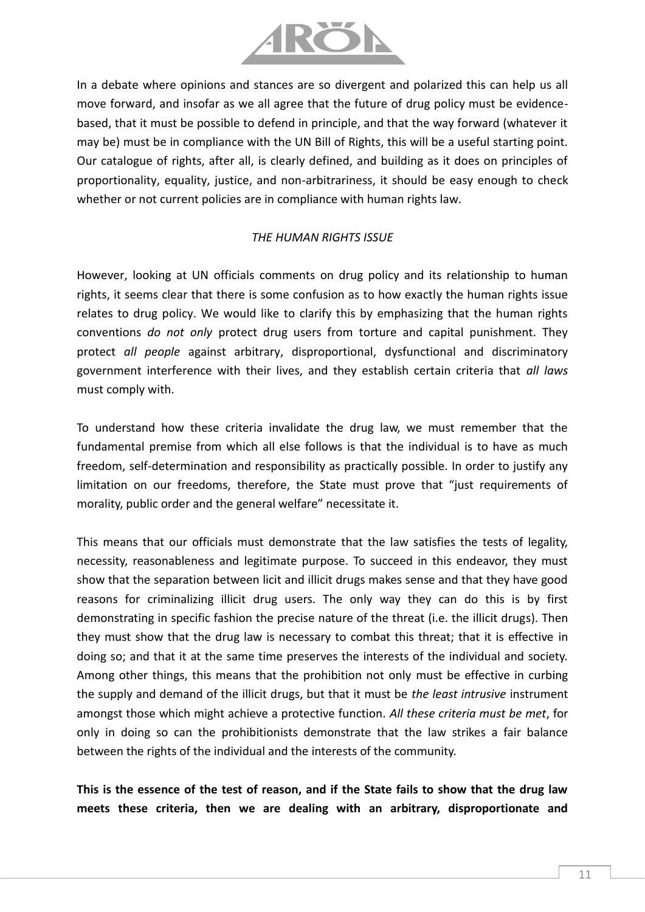

In a debate where opinions and stances are so divergent and polarized this can help us all move forward, and insofar as we all agree that the future of drug policy must be evidencebased, that it must be possible to defend in principle, and that the way forward (whatever it may be) must be in compliance with the UN Bill of Rights, this will be a useful starting point. Our catalogue of rights, after all, is clearly defined, and building as it does on principles of proportionality, equality, justice, and non-arbitrariness, it should be easy enough to check whether or not current policies are in compliance with human rights law.

#### *THE HUMAN RIGHTS ISSUE*

However, looking at UN officials comments on drug policy and its relationship to human rights, it seems clear that there is some confusion as to how exactly the human rights issue relates to drug policy. We would like to clarify this by emphasizing that the human rights conventions *do not only* protect drug users from torture and capital punishment. They protect *all people* against arbitrary, disproportional, dysfunctional and discriminatory government interference with their lives, and they establish certain criteria that *all laws* must comply with.

To understand how these criteria invalidate the drug law, we must remember that the fundamental premise from which all else follows is that the individual is to have as much freedom, self-determination and responsibility as practically possible. In order to justify any limitation on our freedoms, therefore, the State must prove that "just requirements of morality, public order and the general welfare" necessitate it.

This means that our officials must demonstrate that the law satisfies the tests of legality, necessity, reasonableness and legitimate purpose. To succeed in this endeavor, they must show that the separation between licit and illicit drugs makes sense and that they have good reasons for criminalizing illicit drug users. The only way they can do this is by first demonstrating in specific fashion the precise nature of the threat (i.e. the illicit drugs). Then they must show that the drug law is necessary to combat this threat; that it is effective in doing so; and that it at the same time preserves the interests of the individual and society. Among other things, this means that the prohibition not only must be effective in curbing the supply and demand of the illicit drugs, but that it must be *the least intrusive* instrument amongst those which might achieve a protective function. *All these criteria must be met*, for only in doing so can the prohibitionists demonstrate that the law strikes a fair balance between the rights of the individual and the interests of the community.

**This is the essence of the test of reason, and if the State fails to show that the drug law meets these criteria, then we are dealing with an arbitrary, disproportionate and**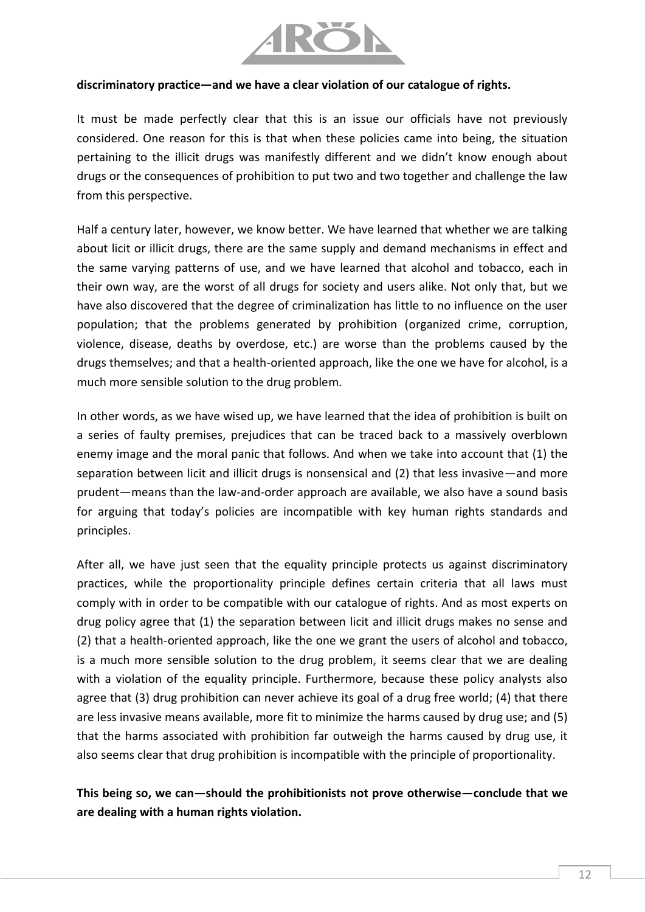

#### **discriminatory practice—and we have a clear violation of our catalogue of rights.**

It must be made perfectly clear that this is an issue our officials have not previously considered. One reason for this is that when these policies came into being, the situation pertaining to the illicit drugs was manifestly different and we didn't know enough about drugs or the consequences of prohibition to put two and two together and challenge the law from this perspective.

Half a century later, however, we know better. We have learned that whether we are talking about licit or illicit drugs, there are the same supply and demand mechanisms in effect and the same varying patterns of use, and we have learned that alcohol and tobacco, each in their own way, are the worst of all drugs for society and users alike. Not only that, but we have also discovered that the degree of criminalization has little to no influence on the user population; that the problems generated by prohibition (organized crime, corruption, violence, disease, deaths by overdose, etc.) are worse than the problems caused by the drugs themselves; and that a health-oriented approach, like the one we have for alcohol, is a much more sensible solution to the drug problem.

In other words, as we have wised up, we have learned that the idea of prohibition is built on a series of faulty premises, prejudices that can be traced back to a massively overblown enemy image and the moral panic that follows. And when we take into account that (1) the separation between licit and illicit drugs is nonsensical and (2) that less invasive—and more prudent—means than the law-and-order approach are available, we also have a sound basis for arguing that today's policies are incompatible with key human rights standards and principles.

After all, we have just seen that the equality principle protects us against discriminatory practices, while the proportionality principle defines certain criteria that all laws must comply with in order to be compatible with our catalogue of rights. And as most experts on drug policy agree that (1) the separation between licit and illicit drugs makes no sense and (2) that a health-oriented approach, like the one we grant the users of alcohol and tobacco, is a much more sensible solution to the drug problem, it seems clear that we are dealing with a violation of the equality principle. Furthermore, because these policy analysts also agree that (3) drug prohibition can never achieve its goal of a drug free world; (4) that there are less invasive means available, more fit to minimize the harms caused by drug use; and (5) that the harms associated with prohibition far outweigh the harms caused by drug use, it also seems clear that drug prohibition is incompatible with the principle of proportionality.

### **This being so, we can—should the prohibitionists not prove otherwise—conclude that we are dealing with a human rights violation.**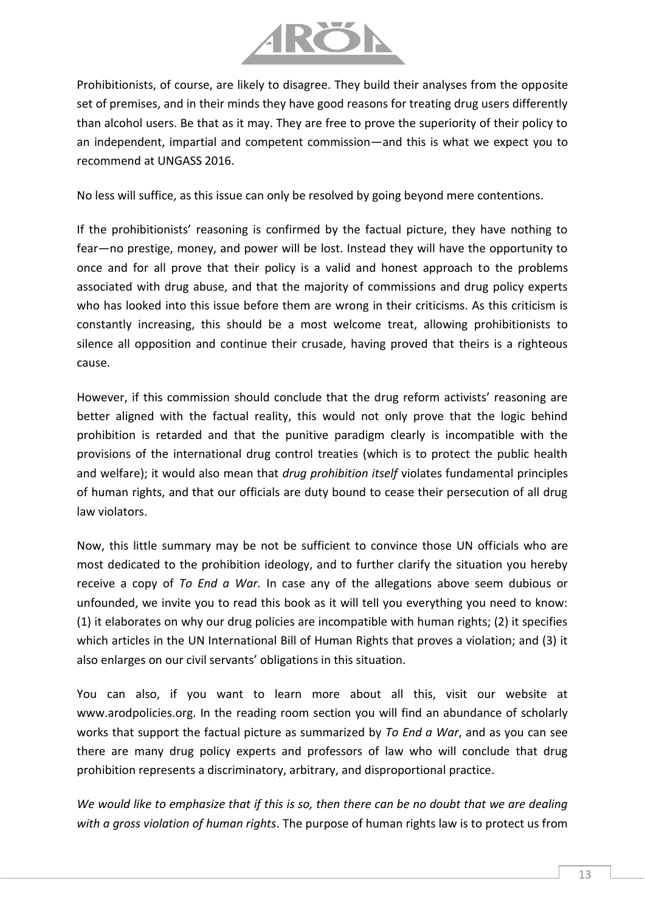

Prohibitionists, of course, are likely to disagree. They build their analyses from the opposite set of premises, and in their minds they have good reasons for treating drug users differently than alcohol users. Be that as it may. They are free to prove the superiority of their policy to an independent, impartial and competent commission—and this is what we expect you to recommend at UNGASS 2016.

No less will suffice, as this issue can only be resolved by going beyond mere contentions.

If the prohibitionists' reasoning is confirmed by the factual picture, they have nothing to fear—no prestige, money, and power will be lost. Instead they will have the opportunity to once and for all prove that their policy is a valid and honest approach to the problems associated with drug abuse, and that the majority of commissions and drug policy experts who has looked into this issue before them are wrong in their criticisms. As this criticism is constantly increasing, this should be a most welcome treat, allowing prohibitionists to silence all opposition and continue their crusade, having proved that theirs is a righteous cause.

However, if this commission should conclude that the drug reform activists' reasoning are better aligned with the factual reality, this would not only prove that the logic behind prohibition is retarded and that the punitive paradigm clearly is incompatible with the provisions of the international drug control treaties (which is to protect the public health and welfare); it would also mean that *drug prohibition itself* violates fundamental principles of human rights, and that our officials are duty bound to cease their persecution of all drug law violators.

Now, this little summary may be not be sufficient to convince those UN officials who are most dedicated to the prohibition ideology, and to further clarify the situation you hereby receive a copy of *To End a War.* In case any of the allegations above seem dubious or unfounded, we invite you to read this book as it will tell you everything you need to know: (1) it elaborates on why our drug policies are incompatible with human rights; (2) it specifies which articles in the UN International Bill of Human Rights that proves a violation; and (3) it also enlarges on our civil servants' obligations in this situation.

You can also, if you want to learn more about all this, visit our website at www.arodpolicies.org. In the reading room section you will find an abundance of scholarly works that support the factual picture as summarized by *To End a War*, and as you can see there are many drug policy experts and professors of law who will conclude that drug prohibition represents a discriminatory, arbitrary, and disproportional practice.

*We would like to emphasize that if this is so, then there can be no doubt that we are dealing with a gross violation of human rights*. The purpose of human rights law is to protect us from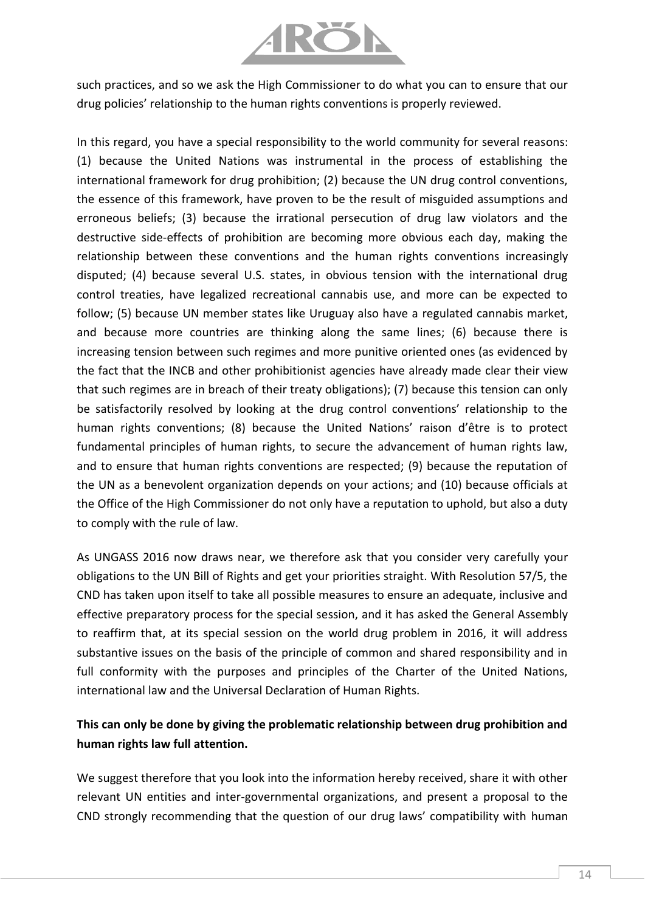

such practices, and so we ask the High Commissioner to do what you can to ensure that our drug policies' relationship to the human rights conventions is properly reviewed.

In this regard, you have a special responsibility to the world community for several reasons: (1) because the United Nations was instrumental in the process of establishing the international framework for drug prohibition; (2) because the UN drug control conventions, the essence of this framework, have proven to be the result of misguided assumptions and erroneous beliefs; (3) because the irrational persecution of drug law violators and the destructive side-effects of prohibition are becoming more obvious each day, making the relationship between these conventions and the human rights conventions increasingly disputed; (4) because several U.S. states, in obvious tension with the international drug control treaties, have legalized recreational cannabis use, and more can be expected to follow; (5) because UN member states like Uruguay also have a regulated cannabis market, and because more countries are thinking along the same lines; (6) because there is increasing tension between such regimes and more punitive oriented ones (as evidenced by the fact that the INCB and other prohibitionist agencies have already made clear their view that such regimes are in breach of their treaty obligations); (7) because this tension can only be satisfactorily resolved by looking at the drug control conventions' relationship to the human rights conventions; (8) because the United Nations' raison d'être is to protect fundamental principles of human rights, to secure the advancement of human rights law, and to ensure that human rights conventions are respected; (9) because the reputation of the UN as a benevolent organization depends on your actions; and (10) because officials at the Office of the High Commissioner do not only have a reputation to uphold, but also a duty to comply with the rule of law.

As UNGASS 2016 now draws near, we therefore ask that you consider very carefully your obligations to the UN Bill of Rights and get your priorities straight. With Resolution 57/5, the CND has taken upon itself to take all possible measures to ensure an adequate, inclusive and effective preparatory process for the special session, and it has asked the General Assembly to reaffirm that, at its special session on the world drug problem in 2016, it will address substantive issues on the basis of the principle of common and shared responsibility and in full conformity with the purposes and principles of the Charter of the United Nations, international law and the Universal Declaration of Human Rights.

## **This can only be done by giving the problematic relationship between drug prohibition and human rights law full attention.**

We suggest therefore that you look into the information hereby received, share it with other relevant UN entities and inter-governmental organizations, and present a proposal to the CND strongly recommending that the question of our drug laws' compatibility with human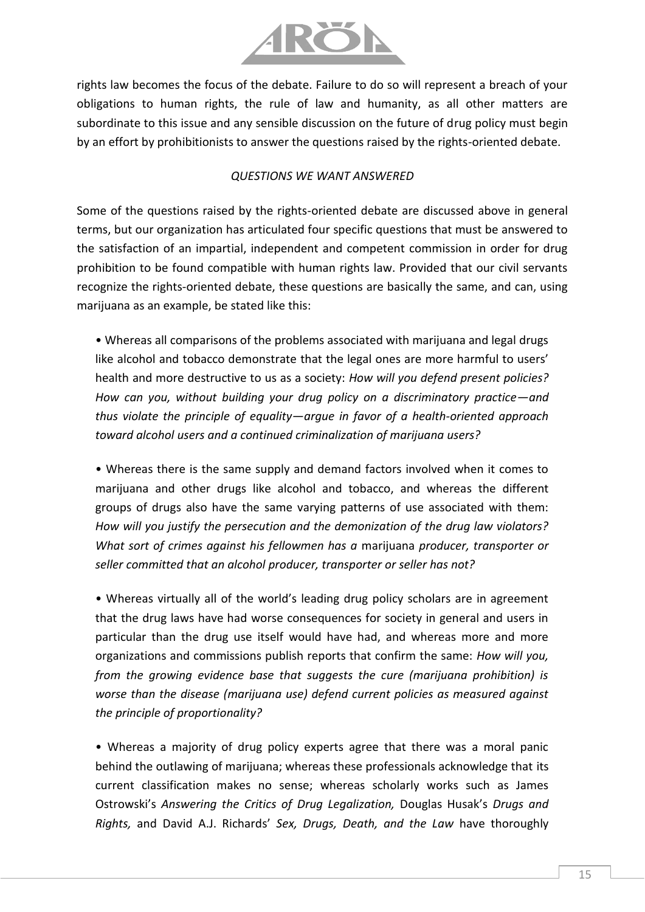

rights law becomes the focus of the debate. Failure to do so will represent a breach of your obligations to human rights, the rule of law and humanity, as all other matters are subordinate to this issue and any sensible discussion on the future of drug policy must begin by an effort by prohibitionists to answer the questions raised by the rights-oriented debate.

#### *QUESTIONS WE WANT ANSWERED*

Some of the questions raised by the rights-oriented debate are discussed above in general terms, but our organization has articulated four specific questions that must be answered to the satisfaction of an impartial, independent and competent commission in order for drug prohibition to be found compatible with human rights law. Provided that our civil servants recognize the rights-oriented debate, these questions are basically the same, and can, using marijuana as an example, be stated like this:

• Whereas all comparisons of the problems associated with marijuana and legal drugs like alcohol and tobacco demonstrate that the legal ones are more harmful to users' health and more destructive to us as a society: *How will you defend present policies? How can you, without building your drug policy on a discriminatory practice—and thus violate the principle of equality—argue in favor of a health-oriented approach toward alcohol users and a continued criminalization of marijuana users?*

• Whereas there is the same supply and demand factors involved when it comes to marijuana and other drugs like alcohol and tobacco, and whereas the different groups of drugs also have the same varying patterns of use associated with them: *How will you justify the persecution and the demonization of the drug law violators? What sort of crimes against his fellowmen has a* marijuana *producer, transporter or seller committed that an alcohol producer, transporter or seller has not?*

• Whereas virtually all of the world's leading drug policy scholars are in agreement that the drug laws have had worse consequences for society in general and users in particular than the drug use itself would have had, and whereas more and more organizations and commissions publish reports that confirm the same: *How will you, from the growing evidence base that suggests the cure (marijuana prohibition) is worse than the disease (marijuana use) defend current policies as measured against the principle of proportionality?*

• Whereas a majority of drug policy experts agree that there was a moral panic behind the outlawing of marijuana; whereas these professionals acknowledge that its current classification makes no sense; whereas scholarly works such as James Ostrowski's *Answering the Critics of Drug Legalization,* Douglas Husak's *Drugs and Rights,* and David A.J. Richards' *Sex, Drugs, Death, and the Law* have thoroughly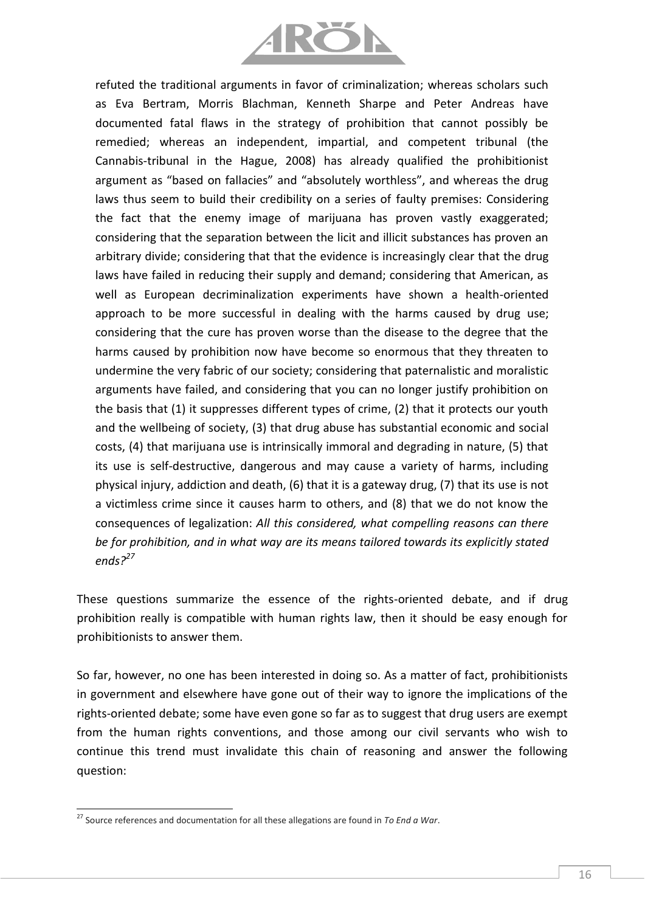

refuted the traditional arguments in favor of criminalization; whereas scholars such as Eva Bertram, Morris Blachman, Kenneth Sharpe and Peter Andreas have documented fatal flaws in the strategy of prohibition that cannot possibly be remedied; whereas an independent, impartial, and competent tribunal (the Cannabis-tribunal in the Hague, 2008) has already qualified the prohibitionist argument as "based on fallacies" and "absolutely worthless", and whereas the drug laws thus seem to build their credibility on a series of faulty premises: Considering the fact that the enemy image of marijuana has proven vastly exaggerated; considering that the separation between the licit and illicit substances has proven an arbitrary divide; considering that that the evidence is increasingly clear that the drug laws have failed in reducing their supply and demand; considering that American, as well as European decriminalization experiments have shown a health-oriented approach to be more successful in dealing with the harms caused by drug use; considering that the cure has proven worse than the disease to the degree that the harms caused by prohibition now have become so enormous that they threaten to undermine the very fabric of our society; considering that paternalistic and moralistic arguments have failed, and considering that you can no longer justify prohibition on the basis that (1) it suppresses different types of crime, (2) that it protects our youth and the wellbeing of society, (3) that drug abuse has substantial economic and social costs, (4) that marijuana use is intrinsically immoral and degrading in nature, (5) that its use is self-destructive, dangerous and may cause a variety of harms, including physical injury, addiction and death, (6) that it is a gateway drug, (7) that its use is not a victimless crime since it causes harm to others, and (8) that we do not know the consequences of legalization: *All this considered, what compelling reasons can there be for prohibition, and in what way are its means tailored towards its explicitly stated ends?<sup>27</sup>*

These questions summarize the essence of the rights-oriented debate, and if drug prohibition really is compatible with human rights law, then it should be easy enough for prohibitionists to answer them.

So far, however, no one has been interested in doing so. As a matter of fact, prohibitionists in government and elsewhere have gone out of their way to ignore the implications of the rights-oriented debate; some have even gone so far as to suggest that drug users are exempt from the human rights conventions, and those among our civil servants who wish to continue this trend must invalidate this chain of reasoning and answer the following question:

l

<sup>27</sup> Source references and documentation for all these allegations are found in *To End a War*.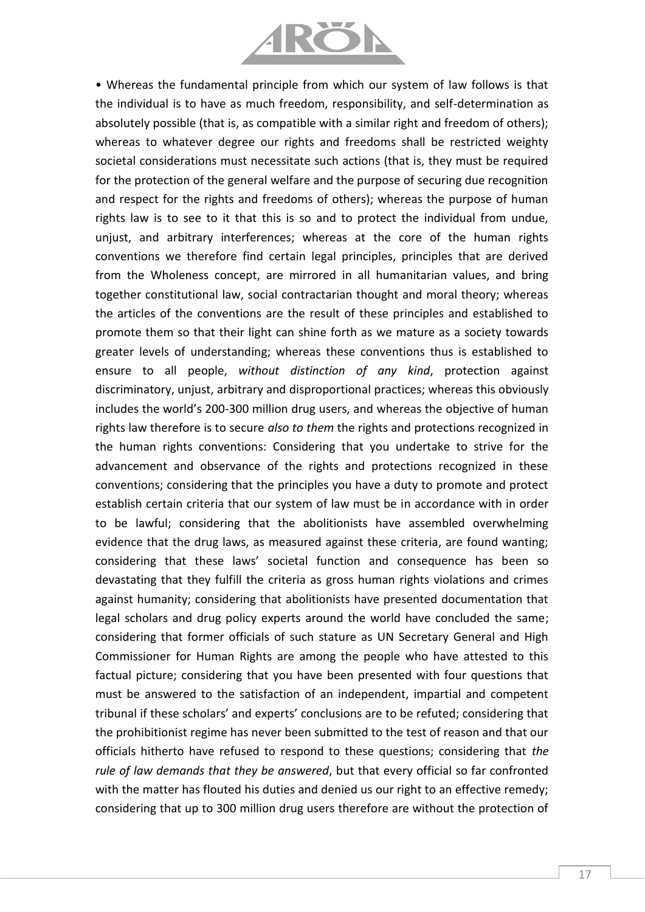

• Whereas the fundamental principle from which our system of law follows is that the individual is to have as much freedom, responsibility, and self-determination as absolutely possible (that is, as compatible with a similar right and freedom of others); whereas to whatever degree our rights and freedoms shall be restricted weighty societal considerations must necessitate such actions (that is, they must be required for the protection of the general welfare and the purpose of securing due recognition and respect for the rights and freedoms of others); whereas the purpose of human rights law is to see to it that this is so and to protect the individual from undue, unjust, and arbitrary interferences; whereas at the core of the human rights conventions we therefore find certain legal principles, principles that are derived from the Wholeness concept, are mirrored in all humanitarian values, and bring together constitutional law, social contractarian thought and moral theory; whereas the articles of the conventions are the result of these principles and established to promote them so that their light can shine forth as we mature as a society towards greater levels of understanding; whereas these conventions thus is established to ensure to all people, *without distinction of any kind*, protection against discriminatory, unjust, arbitrary and disproportional practices; whereas this obviously includes the world's 200-300 million drug users, and whereas the objective of human rights law therefore is to secure *also to them* the rights and protections recognized in the human rights conventions: Considering that you undertake to strive for the advancement and observance of the rights and protections recognized in these conventions; considering that the principles you have a duty to promote and protect establish certain criteria that our system of law must be in accordance with in order to be lawful; considering that the abolitionists have assembled overwhelming evidence that the drug laws, as measured against these criteria, are found wanting; considering that these laws' societal function and consequence has been so devastating that they fulfill the criteria as gross human rights violations and crimes against humanity; considering that abolitionists have presented documentation that legal scholars and drug policy experts around the world have concluded the same; considering that former officials of such stature as UN Secretary General and High Commissioner for Human Rights are among the people who have attested to this factual picture; considering that you have been presented with four questions that must be answered to the satisfaction of an independent, impartial and competent tribunal if these scholars' and experts' conclusions are to be refuted; considering that the prohibitionist regime has never been submitted to the test of reason and that our officials hitherto have refused to respond to these questions; considering that *the rule of law demands that they be answered*, but that every official so far confronted with the matter has flouted his duties and denied us our right to an effective remedy; considering that up to 300 million drug users therefore are without the protection of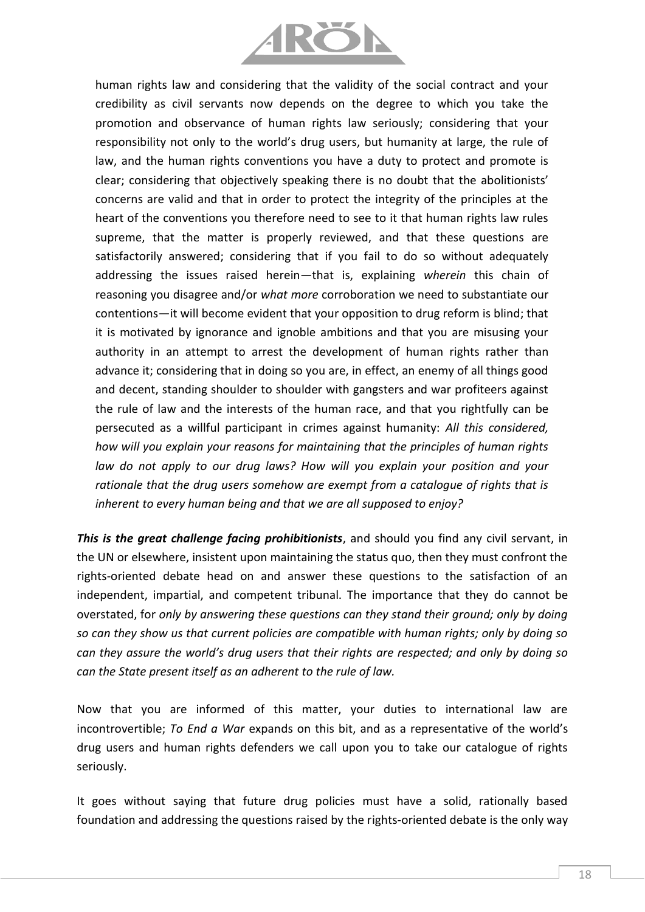

human rights law and considering that the validity of the social contract and your credibility as civil servants now depends on the degree to which you take the promotion and observance of human rights law seriously; considering that your responsibility not only to the world's drug users, but humanity at large, the rule of law, and the human rights conventions you have a duty to protect and promote is clear; considering that objectively speaking there is no doubt that the abolitionists' concerns are valid and that in order to protect the integrity of the principles at the heart of the conventions you therefore need to see to it that human rights law rules supreme, that the matter is properly reviewed, and that these questions are satisfactorily answered; considering that if you fail to do so without adequately addressing the issues raised herein—that is, explaining *wherein* this chain of reasoning you disagree and/or *what more* corroboration we need to substantiate our contentions—it will become evident that your opposition to drug reform is blind; that it is motivated by ignorance and ignoble ambitions and that you are misusing your authority in an attempt to arrest the development of human rights rather than advance it; considering that in doing so you are, in effect, an enemy of all things good and decent, standing shoulder to shoulder with gangsters and war profiteers against the rule of law and the interests of the human race, and that you rightfully can be persecuted as a willful participant in crimes against humanity: *All this considered, how will you explain your reasons for maintaining that the principles of human rights*  law do not apply to our drug laws? How will you explain your position and your *rationale that the drug users somehow are exempt from a catalogue of rights that is inherent to every human being and that we are all supposed to enjoy?*

*This is the great challenge facing prohibitionists*, and should you find any civil servant, in the UN or elsewhere, insistent upon maintaining the status quo, then they must confront the rights-oriented debate head on and answer these questions to the satisfaction of an independent, impartial, and competent tribunal. The importance that they do cannot be overstated, for *only by answering these questions can they stand their ground; only by doing so can they show us that current policies are compatible with human rights; only by doing so can they assure the world's drug users that their rights are respected; and only by doing so can the State present itself as an adherent to the rule of law.*

Now that you are informed of this matter, your duties to international law are incontrovertible; *To End a War* expands on this bit, and as a representative of the world's drug users and human rights defenders we call upon you to take our catalogue of rights seriously.

It goes without saying that future drug policies must have a solid, rationally based foundation and addressing the questions raised by the rights-oriented debate is the only way